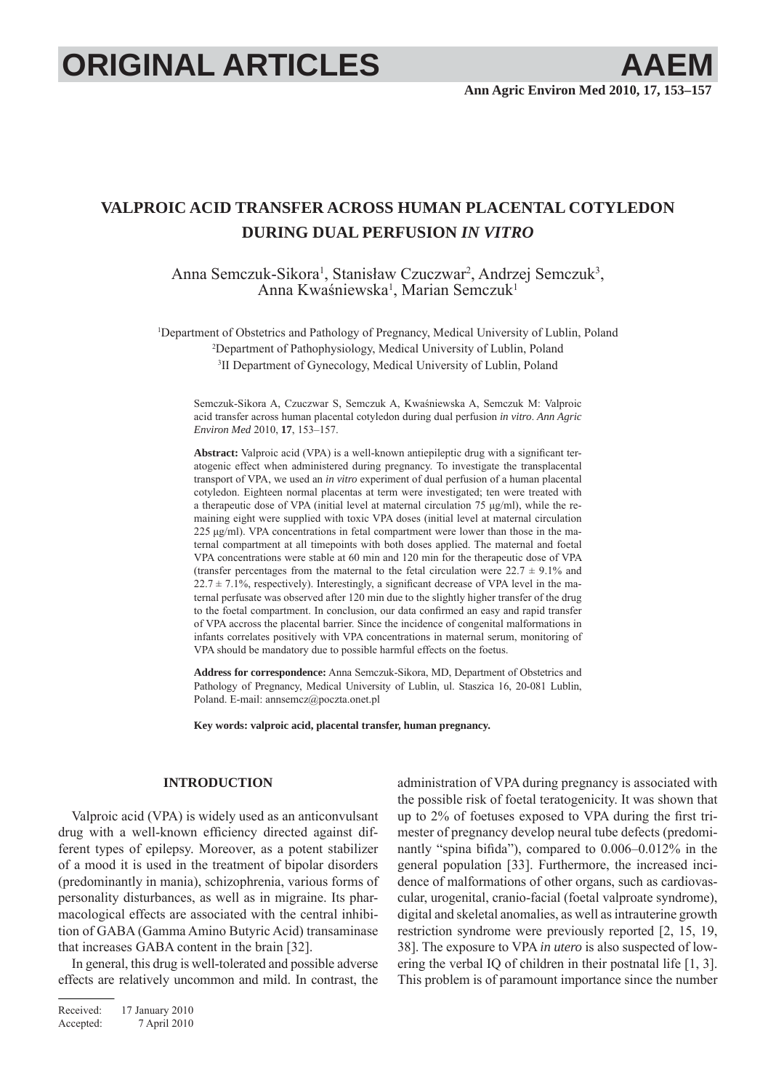# **ORIGINAL ARTICLES AAEM**

## **VALPROIC ACID TRANSFER ACROSS HUMAN PLACENTAL COTYLEDON DURING DUAL PERFUSION** *IN VITRO*

Anna Semczuk-Sikora<sup>1</sup>, Stanisław Czuczwar<sup>2</sup>, Andrzej Semczuk<sup>3</sup>, Anna Kwaśniewska<sup>1</sup>, Marian Semczuk<sup>1</sup>

1 Department of Obstetrics and Pathology of Pregnancy, Medical University of Lublin, Poland 2 Department of Pathophysiology, Medical University of Lublin, Poland 3 II Department of Gynecology, Medical University of Lublin, Poland

Semczuk-Sikora A, Czuczwar S, Semczuk A, Kwaśniewska A, Semczuk M: Valproic acid transfer across human placental cotyledon during dual perfusion *in vitro*. *Ann Agric Environ Med* 2010, **17**, 153–157.

Abstract: Valproic acid (VPA) is a well-known antiepileptic drug with a significant teratogenic effect when administered during pregnancy. To investigate the transplacental transport of VPA, we used an *in vitro* experiment of dual perfusion of a human placental cotyledon. Eighteen normal placentas at term were investigated; ten were treated with a therapeutic dose of VPA (initial level at maternal circulation 75 μg/ml), while the remaining eight were supplied with toxic VPA doses (initial level at maternal circulation 225 μg/ml). VPA concentrations in fetal compartment were lower than those in the maternal compartment at all timepoints with both doses applied. The maternal and foetal VPA concentrations were stable at 60 min and 120 min for the therapeutic dose of VPA (transfer percentages from the maternal to the fetal circulation were  $22.7 \pm 9.1\%$  and  $22.7 \pm 7.1\%$ , respectively). Interestingly, a significant decrease of VPA level in the maternal perfusate was observed after 120 min due to the slightly higher transfer of the drug to the foetal compartment. In conclusion, our data confirmed an easy and rapid transfer of VPA accross the placental barrier. Since the incidence of congenital malformations in infants correlates positively with VPA concentrations in maternal serum, monitoring of VPA should be mandatory due to possible harmful effects on the foetus.

**Address for correspondence:** Anna Semczuk-Sikora, MD, Department of Obstetrics and Pathology of Pregnancy, Medical University of Lublin, ul. Staszica 16, 20-081 Lublin, Poland. E-mail: annsemcz@poczta.onet.pl

**Key words: valproic acid, placental transfer, human pregnancy.**

### **INTRODUCTION**

Valproic acid (VPA) is widely used as an anticonvulsant drug with a well-known efficiency directed against different types of epilepsy. Moreover, as a potent stabilizer of a mood it is used in the treatment of bipolar disorders (predominantly in mania), schizophrenia, various forms of personality disturbances, as well as in migraine. Its pharmacological effects are associated with the central inhibition of GABA (Gamma Amino Butyric Acid) transaminase that increases GABA content in the brain [32].

In general, this drug is well-tolerated and possible adverse effects are relatively uncommon and mild. In contrast, the

Received: 17 January 2010 Accepted: 7 April 2010

administration of VPA during pregnancy is associated with the possible risk of foetal teratogenicity. It was shown that up to  $2\%$  of foetuses exposed to VPA during the first trimester of pregnancy develop neural tube defects (predominantly "spina bifida"), compared to  $0.006-0.012\%$  in the general population [33]. Furthermore, the increased incidence of malformations of other organs, such as cardiovascular, urogenital, cranio-facial (foetal valproate syndrome), digital and skeletal anomalies, as well as intrauterine growth restriction syndrome were previously reported [2, 15, 19, 38]. The exposure to VPA *in utero* is also suspected of lowering the verbal IQ of children in their postnatal life [1, 3]. This problem is of paramount importance since the number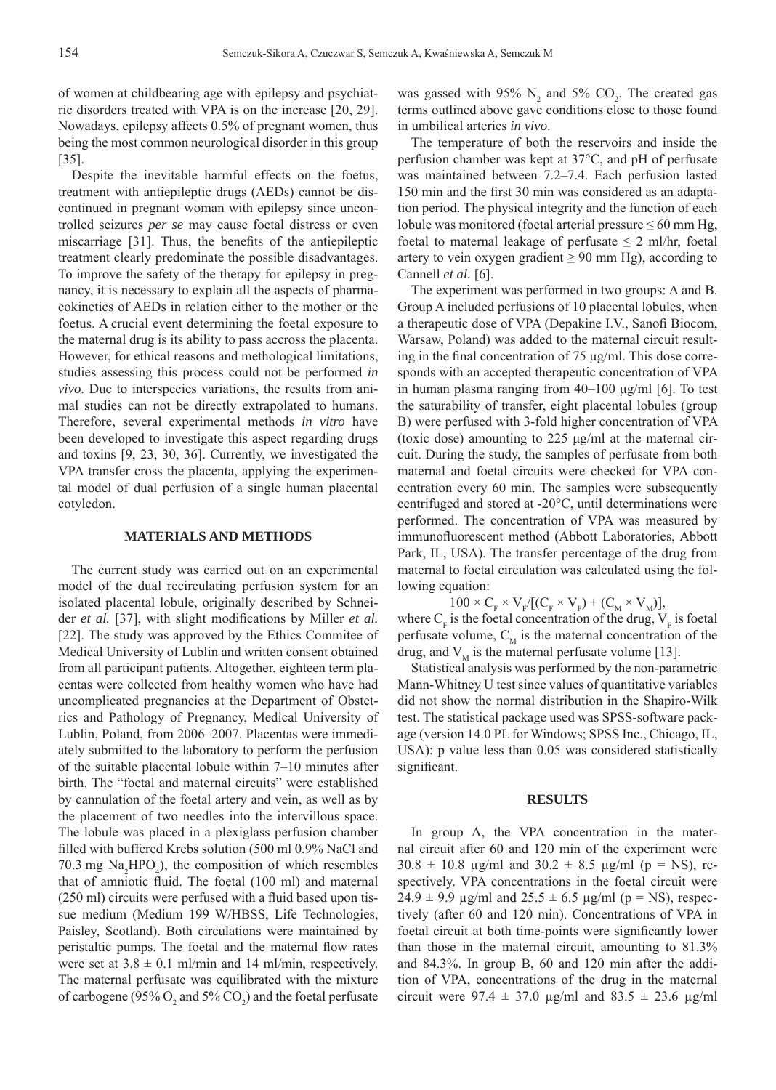of women at childbearing age with epilepsy and psychiatric disorders treated with VPA is on the increase [20, 29]. Nowadays, epilepsy affects 0.5% of pregnant women, thus being the most common neurological disorder in this group [35].

Despite the inevitable harmful effects on the foetus, treatment with antiepileptic drugs (AEDs) cannot be discontinued in pregnant woman with epilepsy since uncontrolled seizures *per se* may cause foetal distress or even miscarriage  $[31]$ . Thus, the benefits of the antiepileptic treatment clearly predominate the possible disadvantages. To improve the safety of the therapy for epilepsy in pregnancy, it is necessary to explain all the aspects of pharmacokinetics of AEDs in relation either to the mother or the foetus. A crucial event determining the foetal exposure to the maternal drug is its ability to pass accross the placenta. However, for ethical reasons and methological limitations, studies assessing this process could not be performed *in vivo*. Due to interspecies variations, the results from animal studies can not be directly extrapolated to humans. Therefore, several experimental methods *in vitro* have been developed to investigate this aspect regarding drugs and toxins [9, 23, 30, 36]. Currently, we investigated the VPA transfer cross the placenta, applying the experimental model of dual perfusion of a single human placental cotyledon.

#### **MATERIALS AND METHODS**

The current study was carried out on an experimental model of the dual recirculating perfusion system for an isolated placental lobule, originally described by Schneider *et al.* [37], with slight modifications by Miller *et al.* [22]. The study was approved by the Ethics Commitee of Medical University of Lublin and written consent obtained from all participant patients. Altogether, eighteen term placentas were collected from healthy women who have had uncomplicated pregnancies at the Department of Obstetrics and Pathology of Pregnancy, Medical University of Lublin, Poland, from 2006–2007. Placentas were immediately submitted to the laboratory to perform the perfusion of the suitable placental lobule within 7–10 minutes after birth. The "foetal and maternal circuits" were established by cannulation of the foetal artery and vein, as well as by the placement of two needles into the intervillous space. The lobule was placed in a plexiglass perfusion chamber filled with buffered Krebs solution (500 ml 0.9% NaCl and 70.3 mg  $\text{Na}_2\text{HPO}_4$ ), the composition of which resembles that of amniotic fluid. The foetal (100 ml) and maternal  $(250 \text{ ml})$  circuits were perfused with a fluid based upon tissue medium (Medium 199 W/HBSS, Life Technologies, Paisley, Scotland). Both circulations were maintained by peristaltic pumps. The foetal and the maternal flow rates were set at  $3.8 \pm 0.1$  ml/min and 14 ml/min, respectively. The maternal perfusate was equilibrated with the mixture of carbogene (95%  $O_2$  and 5%  $CO_2$ ) and the foetal perfusate

was gassed with 95%  $N_2$  and 5%  $CO_2$ . The created gas terms outlined above gave conditions close to those found in umbilical arteries *in vivo*.

The temperature of both the reservoirs and inside the perfusion chamber was kept at 37°C, and pH of perfusate was maintained between 7.2–7.4. Each perfusion lasted 150 min and the first 30 min was considered as an adaptation period. The physical integrity and the function of each lobule was monitored (foetal arterial pressure  $\leq 60$  mm Hg, foetal to maternal leakage of perfusate  $\leq 2$  ml/hr, foetal artery to vein oxygen gradient  $\geq 90$  mm Hg), according to Cannell *et al.* [6].

The experiment was performed in two groups: A and B. Group A included perfusions of 10 placental lobules, when a therapeutic dose of VPA (Depakine I.V., Sanofi Biocom, Warsaw, Poland) was added to the maternal circuit resulting in the final concentration of  $75 \mu g/ml$ . This dose corresponds with an accepted therapeutic concentration of VPA in human plasma ranging from 40–100 μg/ml [6]. To test the saturability of transfer, eight placental lobules (group B) were perfused with 3-fold higher concentration of VPA (toxic dose) amounting to 225 μg/ml at the maternal circuit. During the study, the samples of perfusate from both maternal and foetal circuits were checked for VPA concentration every 60 min. The samples were subsequently centrifuged and stored at -20°C, until determinations were performed. The concentration of VPA was measured by immunofluorescent method (Abbott Laboratories, Abbott Park, IL, USA). The transfer percentage of the drug from maternal to foetal circulation was calculated using the following equation:

 $100 \times C_{\text{F}} \times V_{\text{F}}/[(C_{\text{F}} \times V_{\text{F}}) + (C_{\text{M}} \times V_{\text{M}})],$ where  $C_F$  is the foetal concentration of the drug,  $V_F$  is foetal perfusate volume,  $C_M$  is the maternal concentration of the drug, and  $V_{\rm M}$  is the maternal perfusate volume [13].

Statistical analysis was performed by the non-parametric Mann-Whitney U test since values of quantitative variables did not show the normal distribution in the Shapiro-Wilk test. The statistical package used was SPSS-software package (version 14.0 PL for Windows; SPSS Inc., Chicago, IL, USA); p value less than 0.05 was considered statistically significant.

#### **RESULTS**

In group A, the VPA concentration in the maternal circuit after 60 and 120 min of the experiment were  $30.8 \pm 10.8$  μg/ml and  $30.2 \pm 8.5$  μg/ml (p = NS), respectively. VPA concentrations in the foetal circuit were  $24.9 \pm 9.9$  μg/ml and  $25.5 \pm 6.5$  μg/ml (p = NS), respectively (after 60 and 120 min). Concentrations of VPA in foetal circuit at both time-points were significantly lower than those in the maternal circuit, amounting to 81.3% and 84.3%. In group B, 60 and 120 min after the addition of VPA, concentrations of the drug in the maternal circuit were  $97.4 \pm 37.0$  μg/ml and  $83.5 \pm 23.6$  μg/ml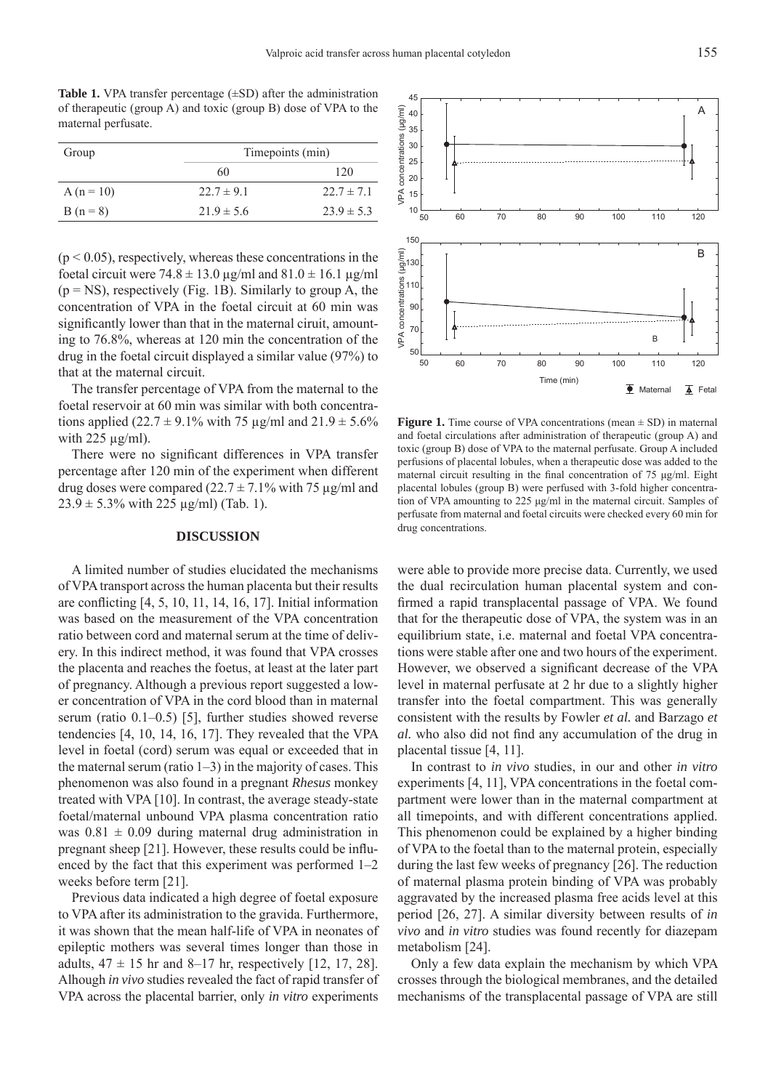**Table 1.** VPA transfer percentage (±SD) after the administration of therapeutic (group A) and toxic (group B) dose of VPA to the maternal perfusate.

| Group      | Timepoints (min) |                |
|------------|------------------|----------------|
|            | 60               | 120            |
| $A(n=10)$  | $22.7 \pm 9.1$   | $22.7 \pm 7.1$ |
| $B(n = 8)$ | $21.9 \pm 5.6$   | $23.9 \pm 5.3$ |

 $(p < 0.05)$ , respectively, whereas these concentrations in the foetal circuit were  $74.8 \pm 13.0 \,\mu g/ml$  and  $81.0 \pm 16.1 \,\mu g/ml$  $(p = NS)$ , respectively (Fig. 1B). Similarly to group A, the concentration of VPA in the foetal circuit at 60 min was significantly lower than that in the maternal ciruit, amounting to 76.8%, whereas at 120 min the concentration of the drug in the foetal circuit displayed a similar value (97%) to that at the maternal circuit.

The transfer percentage of VPA from the maternal to the foetal reservoir at 60 min was similar with both concentrations applied (22.7  $\pm$  9.1% with 75 µg/ml and 21.9  $\pm$  5.6% with  $225 \mu g/ml$ ).

There were no significant differences in VPA transfer percentage after 120 min of the experiment when different drug doses were compared ( $22.7 \pm 7.1\%$  with 75 µg/ml and  $23.9 \pm 5.3\%$  with 225  $\mu$ g/ml) (Tab. 1).

#### **DISCUSSION**

A limited number of studies elucidated the mechanisms of VPA transport across the human placenta but their results are conflicting  $[4, 5, 10, 11, 14, 16, 17]$ . Initial information was based on the measurement of the VPA concentration ratio between cord and maternal serum at the time of delivery. In this indirect method, it was found that VPA crosses the placenta and reaches the foetus, at least at the later part of pregnancy. Although a previous report suggested a lower concentration of VPA in the cord blood than in maternal serum (ratio 0.1–0.5) [5], further studies showed reverse tendencies [4, 10, 14, 16, 17]. They revealed that the VPA level in foetal (cord) serum was equal or exceeded that in the maternal serum (ratio  $1-3$ ) in the majority of cases. This phenomenon was also found in a pregnant *Rhesus* monkey treated with VPA [10]. In contrast, the average steady-state foetal/maternal unbound VPA plasma concentration ratio was  $0.81 \pm 0.09$  during maternal drug administration in pregnant sheep [21]. However, these results could be influenced by the fact that this experiment was performed 1–2 weeks before term [21].

Previous data indicated a high degree of foetal exposure to VPA after its administration to the gravida. Furthermore, it was shown that the mean half-life of VPA in neonates of epileptic mothers was several times longer than those in adults,  $47 \pm 15$  hr and 8–17 hr, respectively [12, 17, 28]. Alhough *in vivo* studies revealed the fact of rapid transfer of VPA across the placental barrier, only *in vitro* experiments

**Figure 1.** Time course of VPA concentrations (mean  $\pm$  SD) in maternal and foetal circulations after administration of therapeutic (group A) and toxic (group B) dose of VPA to the maternal perfusate. Group A included perfusions of placental lobules, when a therapeutic dose was added to the maternal circuit resulting in the final concentration of 75 μg/ml. Eight placental lobules (group B) were perfused with 3-fold higher concentration of VPA amounting to 225 μg/ml in the maternal circuit. Samples of perfusate from maternal and foetal circuits were checked every 60 min for drug concentrations.

were able to provide more precise data. Currently, we used the dual recirculation human placental system and confirmed a rapid transplacental passage of VPA. We found that for the therapeutic dose of VPA, the system was in an equilibrium state, i.e. maternal and foetal VPA concentrations were stable after one and two hours of the experiment. However, we observed a significant decrease of the VPA level in maternal perfusate at 2 hr due to a slightly higher transfer into the foetal compartment. This was generally consistent with the results by Fowler *et al.* and Barzago *et al.* who also did not find any accumulation of the drug in placental tissue [4, 11].

In contrast to *in vivo* studies, in our and other *in vitro*  experiments [4, 11], VPA concentrations in the foetal compartment were lower than in the maternal compartment at all timepoints, and with different concentrations applied. This phenomenon could be explained by a higher binding of VPA to the foetal than to the maternal protein, especially during the last few weeks of pregnancy [26]. The reduction of maternal plasma protein binding of VPA was probably aggravated by the increased plasma free acids level at this period [26, 27]. A similar diversity between results of *in vivo* and *in vitro* studies was found recently for diazepam metabolism [24].

Only a few data explain the mechanism by which VPA crosses through the biological membranes, and the detailed mechanisms of the transplacental passage of VPA are still

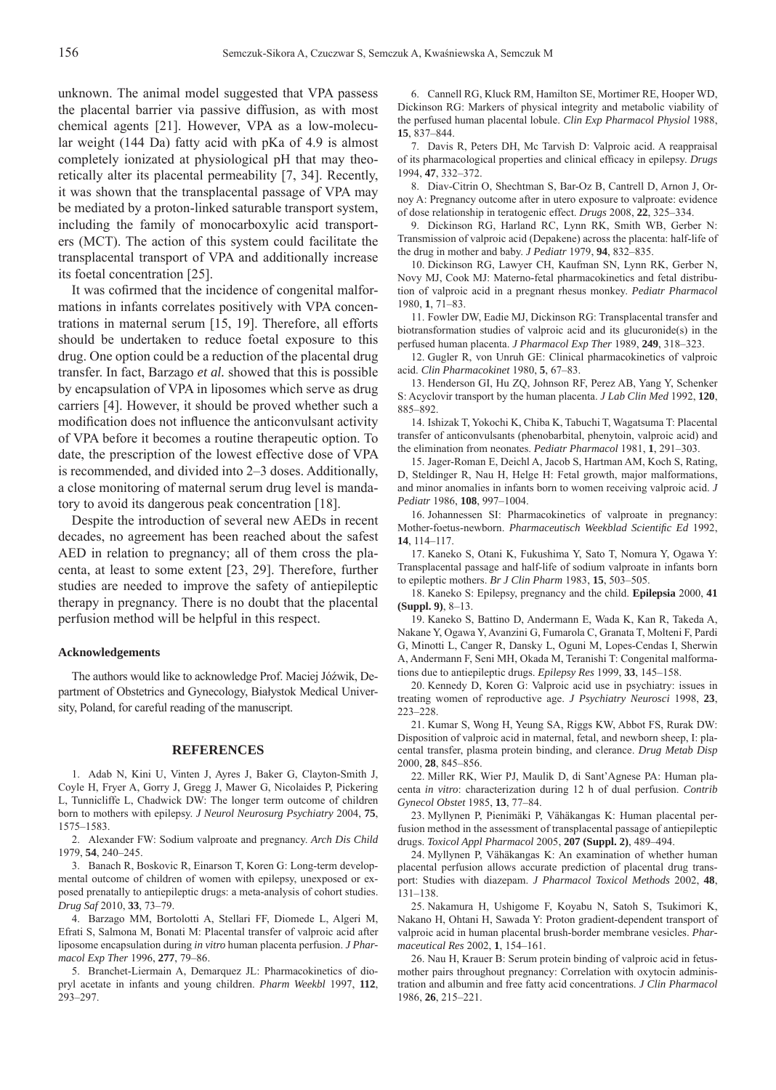unknown. The animal model suggested that VPA passess the placental barrier via passive diffusion, as with most chemical agents [21]. However, VPA as a low-molecular weight (144 Da) fatty acid with pKa of 4.9 is almost completely ionizated at physiological pH that may theoretically alter its placental permeability [7, 34]. Recently, it was shown that the transplacental passage of VPA may be mediated by a proton-linked saturable transport system, including the family of monocarboxylic acid transporters (MCT). The action of this system could facilitate the transplacental transport of VPA and additionally increase its foetal concentration [25].

It was cofirmed that the incidence of congenital malformations in infants correlates positively with VPA concentrations in maternal serum [15, 19]. Therefore, all efforts should be undertaken to reduce foetal exposure to this drug. One option could be a reduction of the placental drug transfer. In fact, Barzago *et al.* showed that this is possible by encapsulation of VPA in liposomes which serve as drug carriers [4]. However, it should be proved whether such a modification does not influence the anticonvulsant activity of VPA before it becomes a routine therapeutic option. To date, the prescription of the lowest effective dose of VPA is recommended, and divided into 2–3 doses. Additionally, a close monitoring of maternal serum drug level is mandatory to avoid its dangerous peak concentration [18].

Despite the introduction of several new AEDs in recent decades, no agreement has been reached about the safest AED in relation to pregnancy; all of them cross the placenta, at least to some extent [23, 29]. Therefore, further studies are needed to improve the safety of antiepileptic therapy in pregnancy. There is no doubt that the placental perfusion method will be helpful in this respect.

#### **Acknowledgements**

The authors would like to acknowledge Prof. Maciej Jóźwik, Department of Obstetrics and Gynecology, Białystok Medical University, Poland, for careful reading of the manuscript.

#### **REFERENCES**

1. Adab N, Kini U, Vinten J, Ayres J, Baker G, Clayton-Smith J, Coyle H, Fryer A, Gorry J, Gregg J, Mawer G, Nicolaides P, Pickering L, Tunnicliffe L, Chadwick DW: The longer term outcome of children born to mothers with epilepsy. *J Neurol Neurosurg Psychiatry* 2004, **75**, 1575–1583.

Alexander FW: Sodium valproate and pregnancy. *Arch Dis Child*  2. 1979, **54**, 240–245.

3. Banach R, Boskovic R, Einarson T, Koren G: Long-term developmental outcome of children of women with epilepsy, unexposed or exposed prenatally to antiepileptic drugs: a meta-analysis of cohort studies. *Drug Saf* 2010, **33**, 73–79.

4. Barzago MM, Bortolotti A, Stellari FF, Diomede L, Algeri M, Efrati S, Salmona M, Bonati M: Placental transfer of valproic acid after liposome encapsulation during *in vitro* human placenta perfusion. *J Pharmacol Exp Ther* 1996, **277**, 79–86.

5. Branchet-Liermain A, Demarquez JL: Pharmacokinetics of diopryl acetate in infants and young children. *Pharm Weekbl* 1997, **112**, 293–297.

6. Cannell RG, Kluck RM, Hamilton SE, Mortimer RE, Hooper WD, Dickinson RG: Markers of physical integrity and metabolic viability of the perfused human placental lobule. *Clin Exp Pharmacol Physiol* 1988, **15**, 837–844.

7. Davis R, Peters DH, Mc Tarvish D: Valproic acid. A reappraisal of its pharmacological properties and clinical efficacy in epilepsy. *Drugs* 1994, **47**, 332–372.

8. Diav-Citrin O, Shechtman S, Bar-Oz B, Cantrell D, Arnon J, Ornoy A: Pregnancy outcome after in utero exposure to valproate: evidence of dose relationship in teratogenic effect. *Drugs* 2008, **22**, 325–334.

9. Dickinson RG, Harland RC, Lynn RK, Smith WB, Gerber N: Transmission of valproic acid (Depakene) across the placenta: half-life of the drug in mother and baby. *J Pediatr* 1979, **94**, 832–835.

10. Dickinson RG, Lawyer CH, Kaufman SN, Lynn RK, Gerber N, Novy MJ, Cook MJ: Materno-fetal pharmacokinetics and fetal distribution of valproic acid in a pregnant rhesus monkey. *Pediatr Pharmacol* 1980, **1**, 71–83.

11. Fowler DW, Eadie MJ, Dickinson RG: Transplacental transfer and biotransformation studies of valproic acid and its glucuronide(s) in the perfused human placenta. *J Pharmacol Exp Ther* 1989, **249**, 318–323.

12. Gugler R, von Unruh GE: Clinical pharmacokinetics of valproic acid. *Clin Pharmacokinet* 1980, **5**, 67–83.

13. Henderson GI, Hu ZQ, Johnson RF, Perez AB, Yang Y, Schenker S: Acyclovir transport by the human placenta. *J Lab Clin Med* 1992, **120**, 885–892.

14. Ishizak T, Yokochi K, Chiba K, Tabuchi T, Wagatsuma T: Placental transfer of anticonvulsants (phenobarbital, phenytoin, valproic acid) and the elimination from neonates. *Pediatr Pharmacol* 1981, **1**, 291–303.

15. Jager-Roman E, Deichl A, Jacob S, Hartman AM, Koch S, Rating, D, Steldinger R, Nau H, Helge H: Fetal growth, major malformations, and minor anomalies in infants born to women receiving valproic acid. *J Pediatr* 1986, **108**, 997–1004.

16. Johannessen SI: Pharmacokinetics of valproate in pregnancy: Mother-foetus-newborn. *Pharmaceutisch Weekblad Scientifi c Ed* 1992, **14**, 114–117.

17. Kaneko S, Otani K, Fukushima Y, Sato T, Nomura Y, Ogawa Y: Transplacental passage and half-life of sodium valproate in infants born to epileptic mothers. *Br J Clin Pharm* 1983, **15**, 503–505.

18. Kaneko S: Epilepsy, pregnancy and the child. **Epilepsia** 2000, 41 **(Suppl. 9)**, 8–13.

19. Kaneko S, Battino D, Andermann E, Wada K, Kan R, Takeda A, Nakane Y, Ogawa Y, Avanzini G, Fumarola C, Granata T, Molteni F, Pardi G, Minotti L, Canger R, Dansky L, Oguni M, Lopes-Cendas I, Sherwin A, Andermann F, Seni MH, Okada M, Teranishi T: Congenital malformations due to antiepileptic drugs. *Epilepsy Res* 1999, **33**, 145–158.

20. Kennedy D, Koren G: Valproic acid use in psychiatry: issues in treating women of reproductive age. *J Psychiatry Neurosci* 1998, **23**, 223–228.

21. Kumar S, Wong H, Yeung SA, Riggs KW, Abbot FS, Rurak DW: Disposition of valproic acid in maternal, fetal, and newborn sheep, I: placental transfer, plasma protein binding, and clerance. *Drug Metab Disp*  2000, **28**, 845–856.

22. Miller RK, Wier PJ, Maulik D, di Sant'Agnese PA: Human placenta *in vitro*: characterization during 12 h of dual perfusion. *Contrib Gynecol Obstet* 1985, **13**, 77–84.

23. Myllynen P, Pienimäki P, Vähäkangas K: Human placental perfusion method in the assessment of transplacental passage of antiepileptic drugs. *Toxicol Appl Pharmacol* 2005, **207 (Suppl. 2)**, 489–494.

24. Myllynen P, Vähäkangas K: An examination of whether human placental perfusion allows accurate prediction of placental drug transport: Studies with diazepam. *J Pharmacol Toxicol Methods* 2002, **48**, 131–138.

25. Nakamura H, Ushigome F, Koyabu N, Satoh S, Tsukimori K, Nakano H, Ohtani H, Sawada Y: Proton gradient-dependent transport of valproic acid in human placental brush-border membrane vesicles. *Pharmaceutical Res* 2002, **1**, 154–161.

26. Nau H, Krauer B: Serum protein binding of valproic acid in fetusmother pairs throughout pregnancy: Correlation with oxytocin administration and albumin and free fatty acid concentrations. *J Clin Pharmacol*  1986, **26**, 215–221.